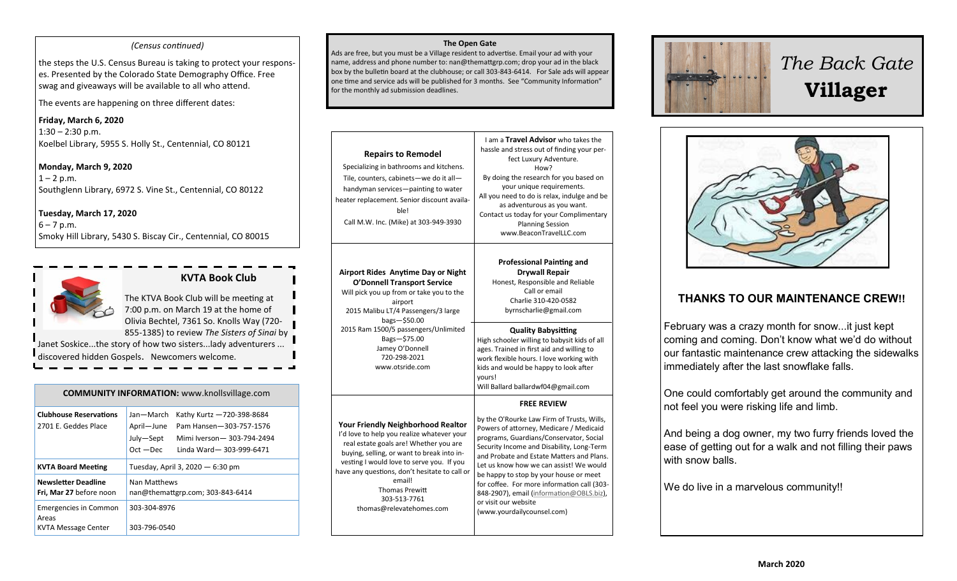#### *(Census continued)*

the steps the U.S. Census Bureau is taking to protect your responses. Presented by the Colorado State Demography Office. Free swag and giveaways will be available to all who attend.

The events are happening on three different dates:

**Friday, March 6, 2020**  $1:30 - 2:30$  p.m. Koelbel Library, 5955 S. Holly St., Centennial, CO 80121

**Monday, March 9, 2020**  $1 - 2 p.m.$ Southglenn Library, 6972 S. Vine St., Centennial, CO 80122

**Tuesday, March 17, 2020**  $6 - 7 p.m.$ Smoky Hill Library, 5430 S. Biscay Cir., Centennial, CO 80015



# **KVTA Book Club**

The KTVA Book Club will be meeting at 7:00 p.m. on March 19 at the home of Olivia Bechtel, 7361 So. Knolls Way (720- 855-1385) to review *The Sisters of Sinai* by Janet Soskice...the story of how two sisters...lady adventurers ... discovered hidden Gospels. Newcomers welcome.

| <b>COMMUNITY INFORMATION:</b> www.knollsvillage.com          |                                                                                                                                                                     |  |
|--------------------------------------------------------------|---------------------------------------------------------------------------------------------------------------------------------------------------------------------|--|
| <b>Clubhouse Reservations</b><br>2701 E. Geddes Place        | Jan-March<br>Kathy Kurtz -720-398-8684<br>April-June<br>Pam Hansen-303-757-1576<br>July-Sept<br>Mimi Iverson-303-794-2494<br>$Oct - Dec$<br>Linda Ward-303-999-6471 |  |
| <b>KVTA Board Meeting</b>                                    | Tuesday, April 3, 2020 - 6:30 pm                                                                                                                                    |  |
| <b>Newsletter Deadline</b><br>Fri, Mar 27 before noon        | Nan Matthews<br>nan@themattgrp.com; 303-843-6414                                                                                                                    |  |
| <b>Emergencies in Common</b><br>Areas<br>KVTA Message Center | 303-304-8976<br>303-796-0540                                                                                                                                        |  |

#### **The Open Gate**

Ads are free, but you must be a Village resident to advertise. Email your ad with your name, address and phone number to: nan@themattgrp.com; drop your ad in the black box by the bulletin board at the clubhouse; or call 303-843-6414. For Sale ads will appear one time and service ads will be published for 3 months. See "Community Information" for the monthly ad submission deadlines.

| <b>Repairs to Remodel</b><br>Specializing in bathrooms and kitchens.<br>Tile, counters, cabinets-we do it all-<br>handyman services-painting to water<br>heater replacement. Senior discount availa-<br>ble!<br>Call M.W. Inc. (Mike) at 303-949-3930                                                                                                        | I am a <b>Travel Advisor</b> who takes the<br>hassle and stress out of finding your per-<br>fect Luxury Adventure.<br>How?<br>By doing the research for you based on<br>your unique requirements.<br>All you need to do is relax, indulge and be<br>as adventurous as you want.<br>Contact us today for your Complimentary<br><b>Planning Session</b><br>www.BeaconTravelLLC.com                                                                                 |
|--------------------------------------------------------------------------------------------------------------------------------------------------------------------------------------------------------------------------------------------------------------------------------------------------------------------------------------------------------------|------------------------------------------------------------------------------------------------------------------------------------------------------------------------------------------------------------------------------------------------------------------------------------------------------------------------------------------------------------------------------------------------------------------------------------------------------------------|
| Airport Rides Anytime Day or Night<br><b>O'Donnell Transport Service</b><br>Will pick you up from or take you to the<br>airport<br>2015 Malibu LT/4 Passengers/3 large<br>bags-\$50.00<br>2015 Ram 1500/5 passengers/Unlimited<br>Bags-\$75.00<br>Jamey O'Donnell<br>720-298-2021<br>www.otsride.com                                                         | <b>Professional Painting and</b><br><b>Drywall Repair</b><br>Honest, Responsible and Reliable<br>Call or email<br>Charlie 310-420-0582<br>byrnscharlie@gmail.com                                                                                                                                                                                                                                                                                                 |
|                                                                                                                                                                                                                                                                                                                                                              | <b>Quality Babysitting</b><br>High schooler willing to babysit kids of all<br>ages. Trained in first aid and willing to<br>work flexible hours. I love working with<br>kids and would be happy to look after<br>yours!<br>Will Ballard ballardwf04@gmail.com                                                                                                                                                                                                     |
|                                                                                                                                                                                                                                                                                                                                                              | <b>FREE REVIEW</b>                                                                                                                                                                                                                                                                                                                                                                                                                                               |
| <b>Your Friendly Neighborhood Realtor</b><br>I'd love to help you realize whatever your<br>real estate goals are! Whether you are<br>buying, selling, or want to break into in-<br>vesting I would love to serve you. If you<br>have any questions, don't hesitate to call or<br>email!<br><b>Thomas Prewitt</b><br>303-513-7761<br>thomas@relevatehomes.com | by the O'Rourke Law Firm of Trusts, Wills,<br>Powers of attorney, Medicare / Medicaid<br>programs, Guardians/Conservator, Social<br>Security Income and Disability, Long-Term<br>and Probate and Estate Matters and Plans.<br>Let us know how we can assist! We would<br>be happy to stop by your house or meet<br>for coffee. For more information call (303-<br>848-2907), email (information@OBLS.biz),<br>or visit our website<br>(www.yourdailycounsel.com) |



# *The Back Gate*  **Villager**



# **THANKS TO OUR MAINTENANCE CREW!!**

February was a crazy month for snow...it just kept coming and coming. Don't know what we'd do without our fantastic maintenance crew attacking the sidewalks immediately after the last snowflake falls.

One could comfortably get around the community and not feel you were risking life and limb.

And being a dog owner, my two furry friends loved the ease of getting out for a walk and not filling their paws with snow balls.

We do live in a marvelous community!!